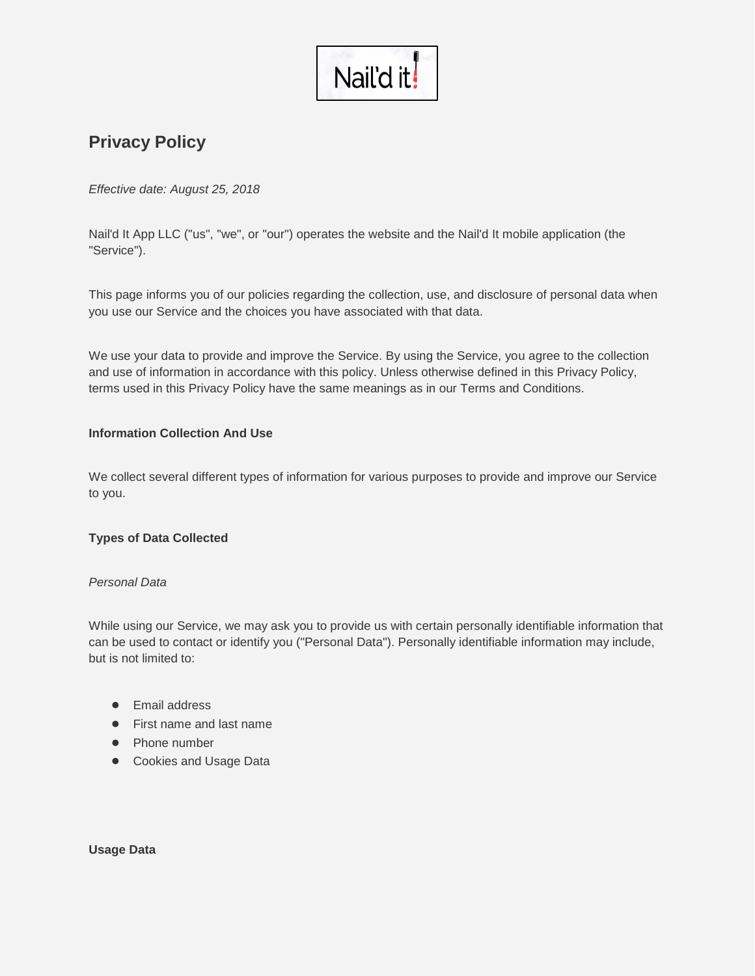

# **Privacy Policy**

# *Effective date: August 25, 2018*

Nail'd It App LLC ("us", "we", or "our") operates the website and the Nail'd It mobile application (the "Service").

This page informs you of our policies regarding the collection, use, and disclosure of personal data when you use our Service and the choices you have associated with that data.

We use your data to provide and improve the Service. By using the Service, you agree to the collection and use of information in accordance with this policy. Unless otherwise defined in this Privacy Policy, terms used in this Privacy Policy have the same meanings as in our Terms and Conditions.

# **Information Collection And Use**

We collect several different types of information for various purposes to provide and improve our Service to you.

# **Types of Data Collected**

# *Personal Data*

While using our Service, we may ask you to provide us with certain personally identifiable information that can be used to contact or identify you ("Personal Data"). Personally identifiable information may include, but is not limited to:

- Email address
- First name and last name
- Phone number
- Cookies and Usage Data

**Usage Data**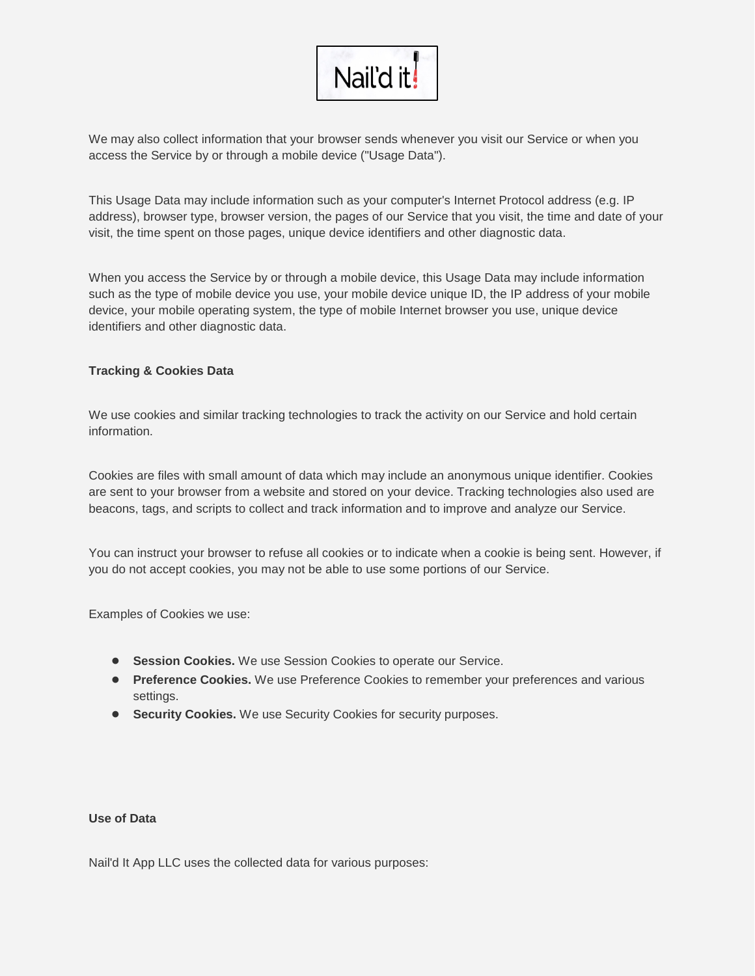

We may also collect information that your browser sends whenever you visit our Service or when you access the Service by or through a mobile device ("Usage Data").

This Usage Data may include information such as your computer's Internet Protocol address (e.g. IP address), browser type, browser version, the pages of our Service that you visit, the time and date of your visit, the time spent on those pages, unique device identifiers and other diagnostic data.

When you access the Service by or through a mobile device, this Usage Data may include information such as the type of mobile device you use, your mobile device unique ID, the IP address of your mobile device, your mobile operating system, the type of mobile Internet browser you use, unique device identifiers and other diagnostic data.

## **Tracking & Cookies Data**

We use cookies and similar tracking technologies to track the activity on our Service and hold certain information.

Cookies are files with small amount of data which may include an anonymous unique identifier. Cookies are sent to your browser from a website and stored on your device. Tracking technologies also used are beacons, tags, and scripts to collect and track information and to improve and analyze our Service.

You can instruct your browser to refuse all cookies or to indicate when a cookie is being sent. However, if you do not accept cookies, you may not be able to use some portions of our Service.

Examples of Cookies we use:

- **Session Cookies.** We use Session Cookies to operate our Service.
- **Preference Cookies.** We use Preference Cookies to remember your preferences and various settings.
- **Security Cookies.** We use Security Cookies for security purposes.

#### **Use of Data**

Nail'd It App LLC uses the collected data for various purposes: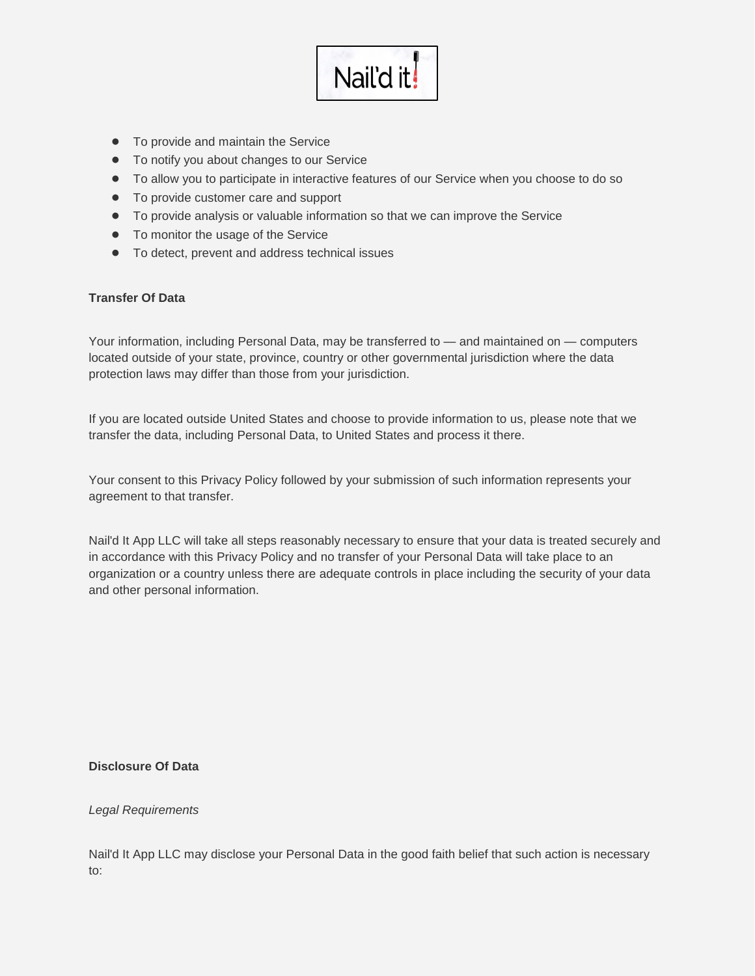

- To provide and maintain the Service
- To notify you about changes to our Service
- To allow you to participate in interactive features of our Service when you choose to do so
- To provide customer care and support
- To provide analysis or valuable information so that we can improve the Service
- To monitor the usage of the Service
- To detect, prevent and address technical issues

## **Transfer Of Data**

Your information, including Personal Data, may be transferred to — and maintained on — computers located outside of your state, province, country or other governmental jurisdiction where the data protection laws may differ than those from your jurisdiction.

If you are located outside United States and choose to provide information to us, please note that we transfer the data, including Personal Data, to United States and process it there.

Your consent to this Privacy Policy followed by your submission of such information represents your agreement to that transfer.

Nail'd It App LLC will take all steps reasonably necessary to ensure that your data is treated securely and in accordance with this Privacy Policy and no transfer of your Personal Data will take place to an organization or a country unless there are adequate controls in place including the security of your data and other personal information.

# **Disclosure Of Data**

#### *Legal Requirements*

Nail'd It App LLC may disclose your Personal Data in the good faith belief that such action is necessary to: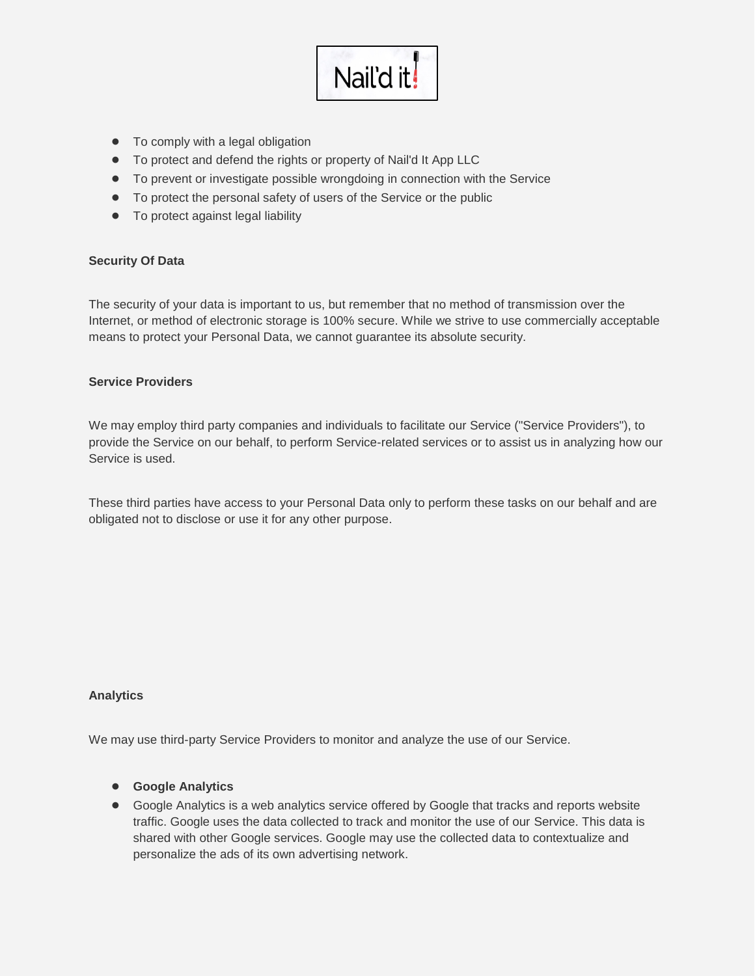

- To comply with a legal obligation
- To protect and defend the rights or property of Nail'd It App LLC
- To prevent or investigate possible wrongdoing in connection with the Service
- To protect the personal safety of users of the Service or the public
- To protect against legal liability

## **Security Of Data**

The security of your data is important to us, but remember that no method of transmission over the Internet, or method of electronic storage is 100% secure. While we strive to use commercially acceptable means to protect your Personal Data, we cannot guarantee its absolute security.

### **Service Providers**

We may employ third party companies and individuals to facilitate our Service ("Service Providers"), to provide the Service on our behalf, to perform Service-related services or to assist us in analyzing how our Service is used.

These third parties have access to your Personal Data only to perform these tasks on our behalf and are obligated not to disclose or use it for any other purpose.

# **Analytics**

We may use third-party Service Providers to monitor and analyze the use of our Service.

# ● **Google Analytics**

● Google Analytics is a web analytics service offered by Google that tracks and reports website traffic. Google uses the data collected to track and monitor the use of our Service. This data is shared with other Google services. Google may use the collected data to contextualize and personalize the ads of its own advertising network.